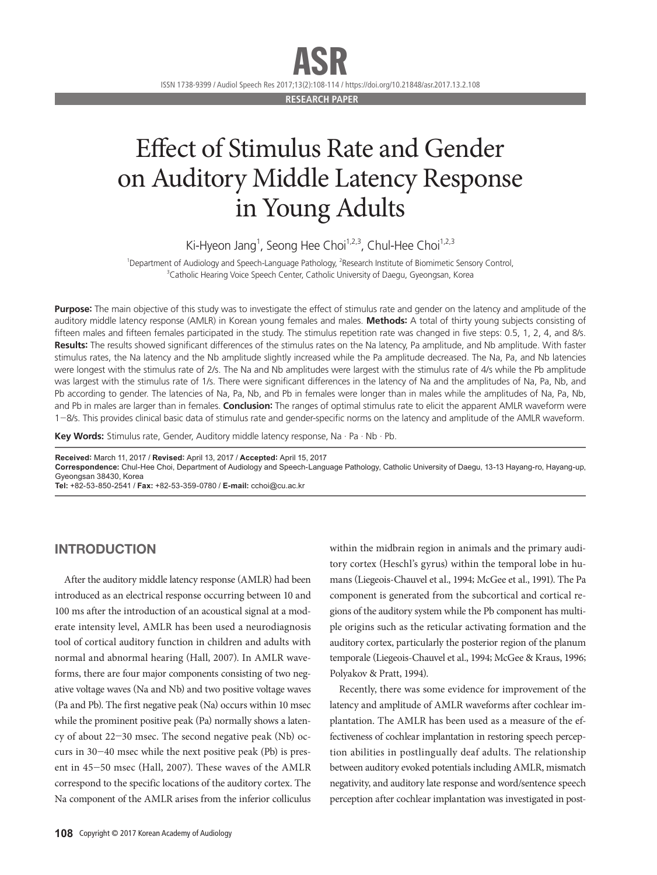ASR

ISSN 1738-9399 / Audiol Speech Res 2017;13(2):108-114 / https://doi.org/10.21848/asr.2017.13.2.108

**RESEARCH PAPER**

## Effect of Stimulus Rate and Gender on Auditory Middle Latency Response in Young Adults

Ki-Hyeon Jang<sup>1</sup>, Seong Hee Choi<sup>1,2,3</sup>, Chul-Hee Choi<sup>1,2,3</sup>

<sup>1</sup>Department of Audiology and Speech-Language Pathology, <sup>2</sup>Research Institute of Biomimetic Sensory Control, <sup>3</sup>Catholic Hearing Voice Speech Center, Catholic University of Daegu, Gyeongsan, Korea

**Purpose:** The main objective of this study was to investigate the effect of stimulus rate and gender on the latency and amplitude of the auditory middle latency response (AMLR) in Korean young females and males. **Methods:** A total of thirty young subjects consisting of fifteen males and fifteen females participated in the study. The stimulus repetition rate was changed in five steps: 0.5, 1, 2, 4, and 8/s. **Results:** The results showed significant differences of the stimulus rates on the Na latency, Pa amplitude, and Nb amplitude. With faster stimulus rates, the Na latency and the Nb amplitude slightly increased while the Pa amplitude decreased. The Na, Pa, and Nb latencies were longest with the stimulus rate of 2/s. The Na and Nb amplitudes were largest with the stimulus rate of 4/s while the Pb amplitude was largest with the stimulus rate of 1/s. There were significant differences in the latency of Na and the amplitudes of Na, Pa, Nb, and Pb according to gender. The latencies of Na, Pa, Nb, and Pb in females were longer than in males while the amplitudes of Na, Pa, Nb, and Pb in males are larger than in females. **Conclusion:** The ranges of optimal stimulus rate to elicit the apparent AMLR waveform were 1-8/s. This provides clinical basic data of stimulus rate and gender-specific norms on the latency and amplitude of the AMLR waveform.

**Key Words:** Stimulus rate, Gender, Auditory middle latency response, Na · Pa · Nb · Pb.

**Received:** March 11, 2017 / **Revised:** April 13, 2017 / **Accepted:** April 15, 2017

**Correspondence:** Chul-Hee Choi, Department of Audiology and Speech-Language Pathology, Catholic University of Daegu, 13-13 Hayang-ro, Hayang-up, Gyeongsan 38430, Korea

**Tel:** +82-53-850-2541 / **Fax:** +82-53-359-0780 / **E-mail:** cchoi@cu.ac.kr

### INTRODUCTION

After the auditory middle latency response (AMLR) had been introduced as an electrical response occurring between 10 and 100 ms after the introduction of an acoustical signal at a moderate intensity level, AMLR has been used a neurodiagnosis tool of cortical auditory function in children and adults with normal and abnormal hearing (Hall, 2007). In AMLR waveforms, there are four major components consisting of two negative voltage waves (Na and Nb) and two positive voltage waves (Pa and Pb). The first negative peak (Na) occurs within 10 msec while the prominent positive peak (Pa) normally shows a latency of about 22-30 msec. The second negative peak (Nb) occurs in  $30-40$  msec while the next positive peak (Pb) is present in 45-50 msec (Hall, 2007). These waves of the AMLR correspond to the specific locations of the auditory cortex. The Na component of the AMLR arises from the inferior colliculus within the midbrain region in animals and the primary auditory cortex (Heschl's gyrus) within the temporal lobe in humans (Liegeois-Chauvel et al., 1994; McGee et al., 1991). The Pa component is generated from the subcortical and cortical regions of the auditory system while the Pb component has multiple origins such as the reticular activating formation and the auditory cortex, particularly the posterior region of the planum temporale (Liegeois-Chauvel et al., 1994; McGee & Kraus, 1996; Polyakov & Pratt, 1994).

Recently, there was some evidence for improvement of the latency and amplitude of AMLR waveforms after cochlear implantation. The AMLR has been used as a measure of the effectiveness of cochlear implantation in restoring speech perception abilities in postlingually deaf adults. The relationship between auditory evoked potentials including AMLR, mismatch negativity, and auditory late response and word/sentence speech perception after cochlear implantation was investigated in post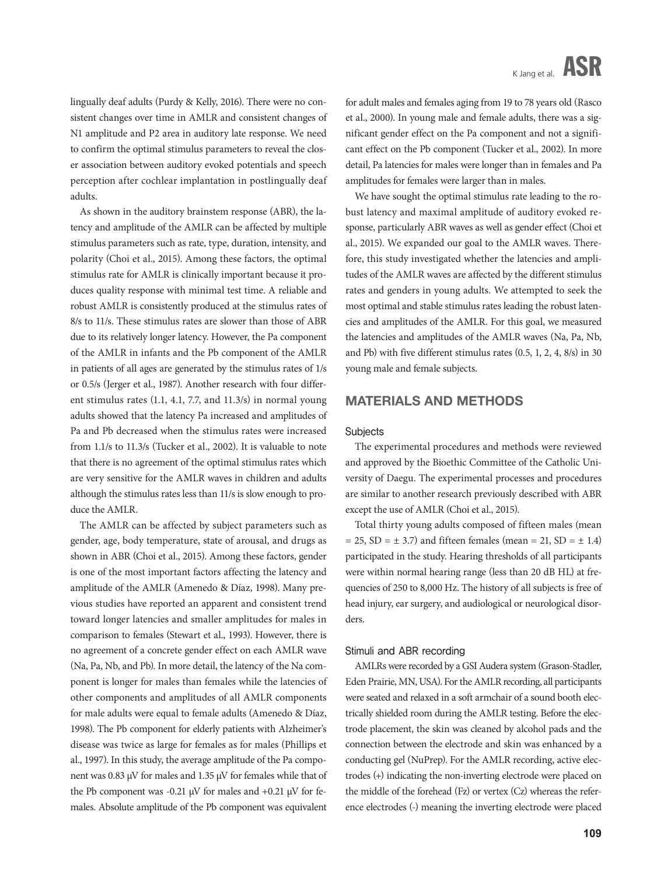lingually deaf adults (Purdy & Kelly, 2016). There were no consistent changes over time in AMLR and consistent changes of N1 amplitude and P2 area in auditory late response. We need to confirm the optimal stimulus parameters to reveal the closer association between auditory evoked potentials and speech perception after cochlear implantation in postlingually deaf adults.

As shown in the auditory brainstem response (ABR), the latency and amplitude of the AMLR can be affected by multiple stimulus parameters such as rate, type, duration, intensity, and polarity (Choi et al., 2015). Among these factors, the optimal stimulus rate for AMLR is clinically important because it produces quality response with minimal test time. A reliable and robust AMLR is consistently produced at the stimulus rates of 8/s to 11/s. These stimulus rates are slower than those of ABR due to its relatively longer latency. However, the Pa component of the AMLR in infants and the Pb component of the AMLR in patients of all ages are generated by the stimulus rates of 1/s or 0.5/s (Jerger et al., 1987). Another research with four different stimulus rates (1.1, 4.1, 7.7, and 11.3/s) in normal young adults showed that the latency Pa increased and amplitudes of Pa and Pb decreased when the stimulus rates were increased from 1.1/s to 11.3/s (Tucker et al., 2002). It is valuable to note that there is no agreement of the optimal stimulus rates which are very sensitive for the AMLR waves in children and adults although the stimulus rates less than 11/s is slow enough to produce the AMLR.

The AMLR can be affected by subject parameters such as gender, age, body temperature, state of arousal, and drugs as shown in ABR (Choi et al., 2015). Among these factors, gender is one of the most important factors affecting the latency and amplitude of the AMLR (Amenedo & Díaz, 1998). Many previous studies have reported an apparent and consistent trend toward longer latencies and smaller amplitudes for males in comparison to females (Stewart et al., 1993). However, there is no agreement of a concrete gender effect on each AMLR wave (Na, Pa, Nb, and Pb). In more detail, the latency of the Na component is longer for males than females while the latencies of other components and amplitudes of all AMLR components for male adults were equal to female adults (Amenedo & Díaz, 1998). The Pb component for elderly patients with Alzheimer's disease was twice as large for females as for males (Phillips et al., 1997). In this study, the average amplitude of the Pa component was 0.83 µV for males and 1.35 µV for females while that of the Pb component was -0.21  $\mu$ V for males and +0.21  $\mu$ V for females. Absolute amplitude of the Pb component was equivalent

for adult males and females aging from 19 to 78 years old (Rasco et al., 2000). In young male and female adults, there was a significant gender effect on the Pa component and not a significant effect on the Pb component (Tucker et al., 2002). In more detail, Pa latencies for males were longer than in females and Pa amplitudes for females were larger than in males.

We have sought the optimal stimulus rate leading to the robust latency and maximal amplitude of auditory evoked response, particularly ABR waves as well as gender effect (Choi et al., 2015). We expanded our goal to the AMLR waves. Therefore, this study investigated whether the latencies and amplitudes of the AMLR waves are affected by the different stimulus rates and genders in young adults. We attempted to seek the most optimal and stable stimulus rates leading the robust latencies and amplitudes of the AMLR. For this goal, we measured the latencies and amplitudes of the AMLR waves (Na, Pa, Nb, and Pb) with five different stimulus rates (0.5, 1, 2, 4, 8/s) in 30 young male and female subjects.

#### MATERIALS AND METHODS

#### **Subjects**

The experimental procedures and methods were reviewed and approved by the Bioethic Committee of the Catholic University of Daegu. The experimental processes and procedures are similar to another research previously described with ABR except the use of AMLR (Choi et al., 2015).

Total thirty young adults composed of fifteen males (mean  $= 25$ , SD  $= \pm 3.7$ ) and fifteen females (mean  $= 21$ , SD  $= \pm 1.4$ ) participated in the study. Hearing thresholds of all participants were within normal hearing range (less than 20 dB HL) at frequencies of 250 to 8,000 Hz. The history of all subjects is free of head injury, ear surgery, and audiological or neurological disorders.

#### Stimuli and ABR recording

AMLRs were recorded by a GSI Audera system (Grason-Stadler, Eden Prairie, MN, USA). For the AMLR recording, all participants were seated and relaxed in a soft armchair of a sound booth electrically shielded room during the AMLR testing. Before the electrode placement, the skin was cleaned by alcohol pads and the connection between the electrode and skin was enhanced by a conducting gel (NuPrep). For the AMLR recording, active electrodes (+) indicating the non-inverting electrode were placed on the middle of the forehead (Fz) or vertex (Cz) whereas the reference electrodes (-) meaning the inverting electrode were placed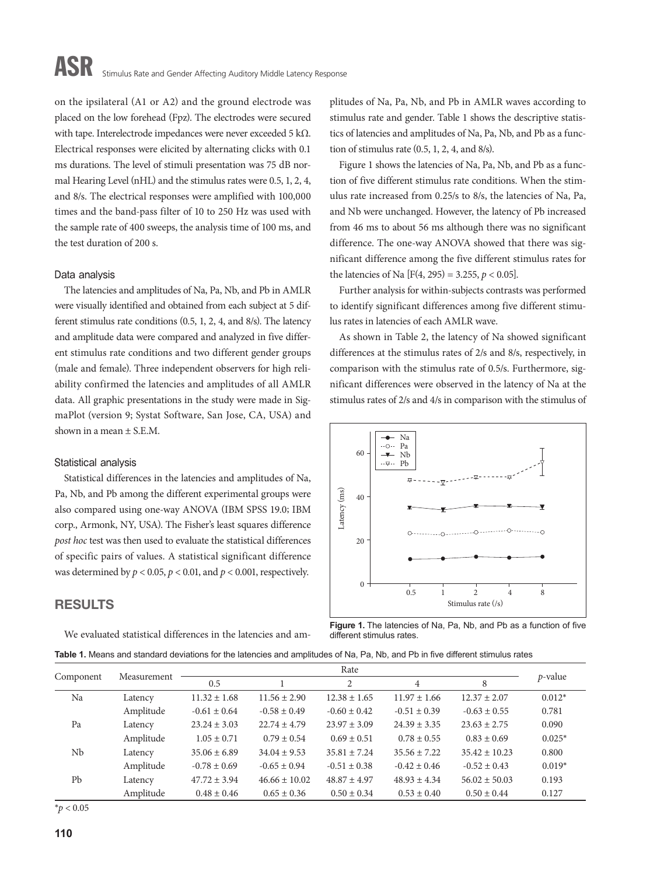on the ipsilateral (A1 or A2) and the ground electrode was placed on the low forehead (Fpz). The electrodes were secured with tape. Interelectrode impedances were never exceeded 5 kΩ. Electrical responses were elicited by alternating clicks with 0.1 ms durations. The level of stimuli presentation was 75 dB normal Hearing Level (nHL) and the stimulus rates were 0.5, 1, 2, 4, and 8/s. The electrical responses were amplified with 100,000 times and the band-pass filter of 10 to 250 Hz was used with the sample rate of 400 sweeps, the analysis time of 100 ms, and the test duration of 200 s.

#### Data analysis

The latencies and amplitudes of Na, Pa, Nb, and Pb in AMLR were visually identified and obtained from each subject at 5 different stimulus rate conditions (0.5, 1, 2, 4, and 8/s). The latency and amplitude data were compared and analyzed in five different stimulus rate conditions and two different gender groups (male and female). Three independent observers for high reliability confirmed the latencies and amplitudes of all AMLR data. All graphic presentations in the study were made in SigmaPlot (version 9; Systat Software, San Jose, CA, USA) and shown in a mean  $\pm$  S.E.M.

#### Statistical analysis

Statistical differences in the latencies and amplitudes of Na, Pa, Nb, and Pb among the different experimental groups were also compared using one-way ANOVA (IBM SPSS 19.0; IBM corp., Armonk, NY, USA). The Fisher's least squares difference *post hoc* test was then used to evaluate the statistical differences of specific pairs of values. A statistical significant difference was determined by  $p < 0.05$ ,  $p < 0.01$ , and  $p < 0.001$ , respectively.

### RESULTS

We evaluated statistical differences in the latencies and am-

plitudes of Na, Pa, Nb, and Pb in AMLR waves according to stimulus rate and gender. Table 1 shows the descriptive statistics of latencies and amplitudes of Na, Pa, Nb, and Pb as a function of stimulus rate (0.5, 1, 2, 4, and 8/s).

Figure 1 shows the latencies of Na, Pa, Nb, and Pb as a function of five different stimulus rate conditions. When the stimulus rate increased from 0.25/s to 8/s, the latencies of Na, Pa, and Nb were unchanged. However, the latency of Pb increased from 46 ms to about 56 ms although there was no significant difference. The one-way ANOVA showed that there was significant difference among the five different stimulus rates for the latencies of Na  $[F(4, 295) = 3.255, p < 0.05]$ .

Further analysis for within-subjects contrasts was performed to identify significant differences among five different stimulus rates in latencies of each AMLR wave.

As shown in Table 2, the latency of Na showed significant differences at the stimulus rates of 2/s and 8/s, respectively, in comparison with the stimulus rate of 0.5/s. Furthermore, significant differences were observed in the latency of Na at the stimulus rates of 2/s and 4/s in comparison with the stimulus of



**Figure 1.** The latencies of Na, Pa, Nb, and Pb as a function of five different stimulus rates

|  | Table 1. Means and standard deviations for the latencies and amplitudes of Na, Pa, Nb, and Pb in five different stimulus rates |
|--|--------------------------------------------------------------------------------------------------------------------------------|
|--|--------------------------------------------------------------------------------------------------------------------------------|

| Component | Measurement | Rate             |                   |                  |                  |                   |            |
|-----------|-------------|------------------|-------------------|------------------|------------------|-------------------|------------|
|           |             | 0.5              |                   | $\overline{2}$   | $\overline{4}$   | 8                 | $p$ -value |
| Na        | Latency     | $11.32 \pm 1.68$ | $11.56 \pm 2.90$  | $12.38 \pm 1.65$ | $11.97 \pm 1.66$ | $12.37 \pm 2.07$  | $0.012*$   |
|           | Amplitude   | $-0.61 \pm 0.64$ | $-0.58 \pm 0.49$  | $-0.60 \pm 0.42$ | $-0.51 \pm 0.39$ | $-0.63 \pm 0.55$  | 0.781      |
| Pa        | Latency     | $23.24 \pm 3.03$ | $22.74 \pm 4.79$  | $23.97 \pm 3.09$ | $24.39 \pm 3.35$ | $23.63 \pm 2.75$  | 0.090      |
|           | Amplitude   | $1.05 \pm 0.71$  | $0.79 \pm 0.54$   | $0.69 \pm 0.51$  | $0.78 \pm 0.55$  | $0.83 \pm 0.69$   | $0.025*$   |
| Nb        | Latency     | $35.06 \pm 6.89$ | $34.04 \pm 9.53$  | $35.81 \pm 7.24$ | $35.56 \pm 7.22$ | $35.42 \pm 10.23$ | 0.800      |
|           | Amplitude   | $-0.78 \pm 0.69$ | $-0.65 \pm 0.94$  | $-0.51 \pm 0.38$ | $-0.42 \pm 0.46$ | $-0.52 \pm 0.43$  | $0.019*$   |
| Pb        | Latency     | $47.72 \pm 3.94$ | $46.66 \pm 10.02$ | $48.87 \pm 4.97$ | $48.93 \pm 4.34$ | $56.02 \pm 50.03$ | 0.193      |
|           | Amplitude   | $0.48 \pm 0.46$  | $0.65 \pm 0.36$   | $0.50 \pm 0.34$  | $0.53 \pm 0.40$  | $0.50 \pm 0.44$   | 0.127      |

 $*$ *p* < 0.05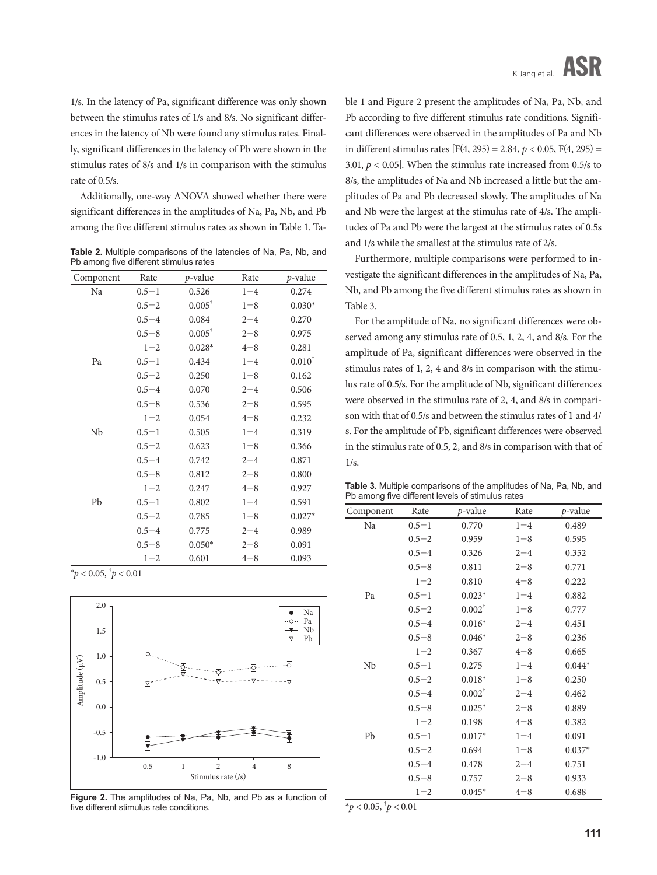1/s. In the latency of Pa, significant difference was only shown between the stimulus rates of 1/s and 8/s. No significant differences in the latency of Nb were found any stimulus rates. Finally, significant differences in the latency of Pb were shown in the stimulus rates of 8/s and 1/s in comparison with the stimulus rate of 0.5/s.

Additionally, one-way ANOVA showed whether there were significant differences in the amplitudes of Na, Pa, Nb, and Pb among the five different stimulus rates as shown in Table 1. Ta-

**Table 2.** Multiple comparisons of the latencies of Na, Pa, Nb, and Pb among five different stimulus rates

| Component | Rate      | $p$ -value        | Rate    | $p$ -value  |
|-----------|-----------|-------------------|---------|-------------|
| Na        | $0.5 - 1$ | 0.526             | $1 - 4$ | 0.274       |
|           | $0.5 - 2$ | $0.005^{\dagger}$ | $1 - 8$ | $0.030*$    |
|           | $0.5 - 4$ | 0.084             | $2 - 4$ | 0.270       |
|           | $0.5 - 8$ | $0.005^{\dagger}$ | $2 - 8$ | 0.975       |
|           | $1 - 2$   | $0.028*$          | $4 - 8$ | 0.281       |
| Pa        | $0.5 - 1$ | 0.434             | $1 - 4$ | $0.010^{+}$ |
|           | $0.5 - 2$ | 0.250             | $1 - 8$ | 0.162       |
|           | $0.5 - 4$ | 0.070             | $2 - 4$ | 0.506       |
|           | $0.5 - 8$ | 0.536             | $2 - 8$ | 0.595       |
|           | $1 - 2$   | 0.054             | $4 - 8$ | 0.232       |
| Nb        | $0.5 - 1$ | 0.505             | $1 - 4$ | 0.319       |
|           | $0.5 - 2$ | 0.623             | $1 - 8$ | 0.366       |
|           | $0.5 - 4$ | 0.742             | $2 - 4$ | 0.871       |
|           | $0.5 - 8$ | 0.812             | $2 - 8$ | 0.800       |
|           | $1 - 2$   | 0.247             | $4 - 8$ | 0.927       |
| Pb        | $0.5 - 1$ | 0.802             | $1 - 4$ | 0.591       |
|           | $0.5 - 2$ | 0.785             | $1 - 8$ | $0.027*$    |
|           | $0.5 - 4$ | 0.775             | $2 - 4$ | 0.989       |
|           | $0.5 - 8$ | $0.050*$          | $2 - 8$ | 0.091       |
|           | $1 - 2$   | 0.601             | $4 - 8$ | 0.093       |

 $*p < 0.05, \, \frac{1}{p} < 0.01$ 



**Figure 2.** The amplitudes of Na, Pa, Nb, and Pb as a function of five different stimulus rate conditions.

ble 1 and Figure 2 present the amplitudes of Na, Pa, Nb, and Pb according to five different stimulus rate conditions. Significant differences were observed in the amplitudes of Pa and Nb in different stimulus rates  $[F(4, 295) = 2.84, p < 0.05, F(4, 295) =$ 3.01,  $p < 0.05$ ]. When the stimulus rate increased from 0.5/s to 8/s, the amplitudes of Na and Nb increased a little but the amplitudes of Pa and Pb decreased slowly. The amplitudes of Na and Nb were the largest at the stimulus rate of 4/s. The amplitudes of Pa and Pb were the largest at the stimulus rates of 0.5s and 1/s while the smallest at the stimulus rate of 2/s.

Furthermore, multiple comparisons were performed to investigate the significant differences in the amplitudes of Na, Pa, Nb, and Pb among the five different stimulus rates as shown in Table 3.

For the amplitude of Na, no significant differences were observed among any stimulus rate of 0.5, 1, 2, 4, and 8/s. For the amplitude of Pa, significant differences were observed in the stimulus rates of 1, 2, 4 and 8/s in comparison with the stimulus rate of 0.5/s. For the amplitude of Nb, significant differences were observed in the stimulus rate of 2, 4, and 8/s in comparison with that of 0.5/s and between the stimulus rates of 1 and 4/ s. For the amplitude of Pb, significant differences were observed in the stimulus rate of 0.5, 2, and 8/s in comparison with that of 1/s.

**Table 3.** Multiple comparisons of the amplitudes of Na, Pa, Nb, and Pb among five different levels of stimulus rates

| Component | Rate      | $p$ -value        | Rate    | $p$ -value |
|-----------|-----------|-------------------|---------|------------|
| Na        | $0.5 - 1$ | 0.770             | $1 - 4$ | 0.489      |
|           | $0.5 - 2$ | 0.959             | $1 - 8$ | 0.595      |
|           | $0.5 - 4$ | 0.326             | $2 - 4$ | 0.352      |
|           | $0.5 - 8$ | 0.811             | $2 - 8$ | 0.771      |
|           | $1 - 2$   | 0.810             | $4 - 8$ | 0.222      |
| Pa        | $0.5 - 1$ | $0.023*$          | $1 - 4$ | 0.882      |
|           | $0.5 - 2$ | $0.002^{\dagger}$ | $1 - 8$ | 0.777      |
|           | $0.5 - 4$ | $0.016*$          | $2 - 4$ | 0.451      |
|           | $0.5 - 8$ | $0.046*$          | $2 - 8$ | 0.236      |
|           | $1 - 2$   | 0.367             | $4 - 8$ | 0.665      |
| Nb        | $0.5 - 1$ | 0.275             | $1 - 4$ | $0.044*$   |
|           | $0.5 - 2$ | $0.018*$          | $1 - 8$ | 0.250      |
|           | $0.5 - 4$ | $0.002^{\dagger}$ | $2 - 4$ | 0.462      |
|           | $0.5 - 8$ | $0.025*$          | $2 - 8$ | 0.889      |
|           | $1 - 2$   | 0.198             | $4 - 8$ | 0.382      |
| Pb        | $0.5 - 1$ | $0.017*$          | $1 - 4$ | 0.091      |
|           | $0.5 - 2$ | 0.694             | $1 - 8$ | $0.037*$   |
|           | $0.5 - 4$ | 0.478             | $2 - 4$ | 0.751      |
|           | $0.5 - 8$ | 0.757             | $2 - 8$ | 0.933      |
|           | $1 - 2$   | $0.045*$          | $4 - 8$ | 0.688      |

 $*p < 0.05, \, \frac{1}{p} < 0.01$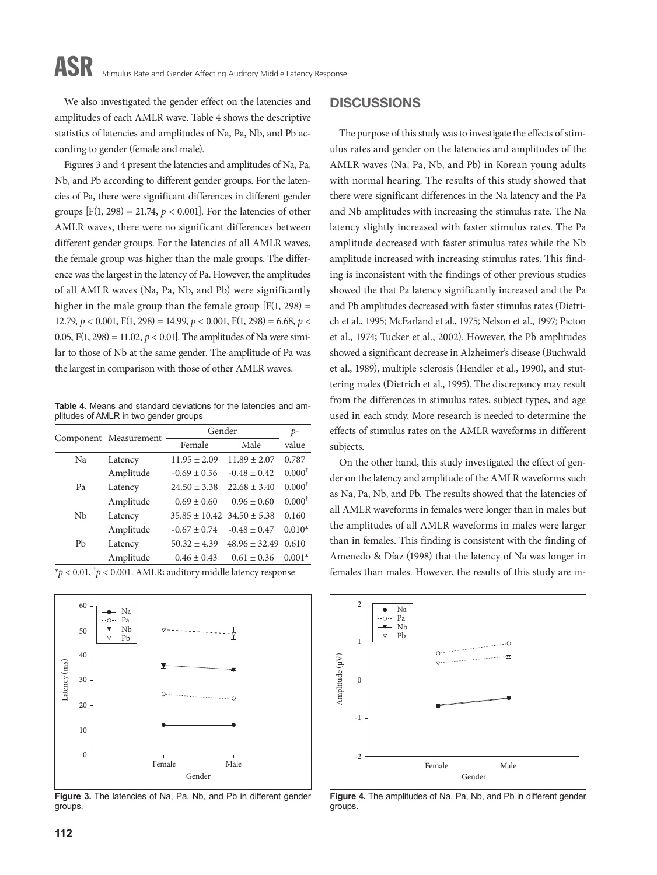## ASR Stimulus Rate and Gender Affecting Auditory Middle Latency Response

We also investigated the gender effect on the latencies and amplitudes of each AMLR wave. Table 4 shows the descriptive statistics of latencies and amplitudes of Na, Pa, Nb, and Pb according to gender (female and male).

Figures 3 and 4 present the latencies and amplitudes of Na, Pa, Nb, and Pb according to different gender groups. For the latencies of Pa, there were significant differences in different gender groups  $[F(1, 298) = 21.74, p < 0.001]$ . For the latencies of other AMLR waves, there were no significant differences between different gender groups. For the latencies of all AMLR waves, the female group was higher than the male groups. The difference was the largest in the latency of Pa. However, the amplitudes of all AMLR waves (Na, Pa, Nb, and Pb) were significantly higher in the male group than the female group  $[F(1, 298) =$ 12.79,  $p < 0.001$ ,  $F(1, 298) = 14.99$ ,  $p < 0.001$ ,  $F(1, 298) = 6.68$ ,  $p <$ 0.05,  $F(1, 298) = 11.02$ ,  $p < 0.01$ . The amplitudes of Na were similar to those of Nb at the same gender. The amplitude of Pa was the largest in comparison with those of other AMLR waves.

**Table 4.** Means and standard deviations for the latencies and amplitudes of AMLR in two gender groups

|    |                       | Gender                             | $p-$              |                   |
|----|-----------------------|------------------------------------|-------------------|-------------------|
|    | Component Measurement | Female                             | Male              | value             |
| Na | Latency               | $11.95 \pm 2.09$                   | $11.89 \pm 2.07$  | 0.787             |
|    | Amplitude             | $-0.69 \pm 0.56$                   | $-0.48 \pm 0.42$  | $0.000^{\dagger}$ |
| Pa | Latency               | $24.50 \pm 3.38$                   | $22.68 \pm 3.40$  | $0.000^{\dagger}$ |
|    | Amplitude             | $0.69 \pm 0.60$                    | $0.96 \pm 0.60$   | $0.000^{\dagger}$ |
| Nb | Latency               | $35.85 \pm 10.42$ $34.50 \pm 5.38$ |                   | 0.160             |
|    | Amplitude             | $-0.67 \pm 0.74$                   | $-0.48 \pm 0.47$  | $0.010*$          |
| Pb | Latency               | $50.32 \pm 4.39$                   | $48.96 \pm 32.49$ | 0.610             |
|    | Amplitude             | $0.46 \pm 0.43$                    | $0.61 \pm 0.36$   | $0.001*$          |
|    |                       |                                    |                   |                   |

\**p* < 0.01, † *p* < 0.001. AMLR: auditory middle latency response



**Figure 3.** The latencies of Na, Pa, Nb, and Pb in different gender groups.

#### **DISCUSSIONS**

The purpose of this study was to investigate the effects of stimulus rates and gender on the latencies and amplitudes of the AMLR waves (Na, Pa, Nb, and Pb) in Korean young adults with normal hearing. The results of this study showed that there were significant differences in the Na latency and the Pa and Nb amplitudes with increasing the stimulus rate. The Na latency slightly increased with faster stimulus rates. The Pa amplitude decreased with faster stimulus rates while the Nb amplitude increased with increasing stimulus rates. This finding is inconsistent with the findings of other previous studies showed the that Pa latency significantly increased and the Pa and Pb amplitudes decreased with faster stimulus rates (Dietrich et al., 1995; McFarland et al., 1975; Nelson et al., 1997; Picton et al., 1974; Tucker et al., 2002). However, the Pb amplitudes showed a significant decrease in Alzheimer's disease (Buchwald et al., 1989), multiple sclerosis (Hendler et al., 1990), and stuttering males (Dietrich et al., 1995). The discrepancy may result from the differences in stimulus rates, subject types, and age used in each study. More research is needed to determine the effects of stimulus rates on the AMLR waveforms in different subjects.

On the other hand, this study investigated the effect of gender on the latency and amplitude of the AMLR waveforms such as Na, Pa, Nb, and Pb. The results showed that the latencies of all AMLR waveforms in females were longer than in males but the amplitudes of all AMLR waveforms in males were larger than in females. This finding is consistent with the finding of Amenedo & Díaz (1998) that the latency of Na was longer in females than males. However, the results of this study are in-



**Figure 4.** The amplitudes of Na, Pa, Nb, and Pb in different gender groups.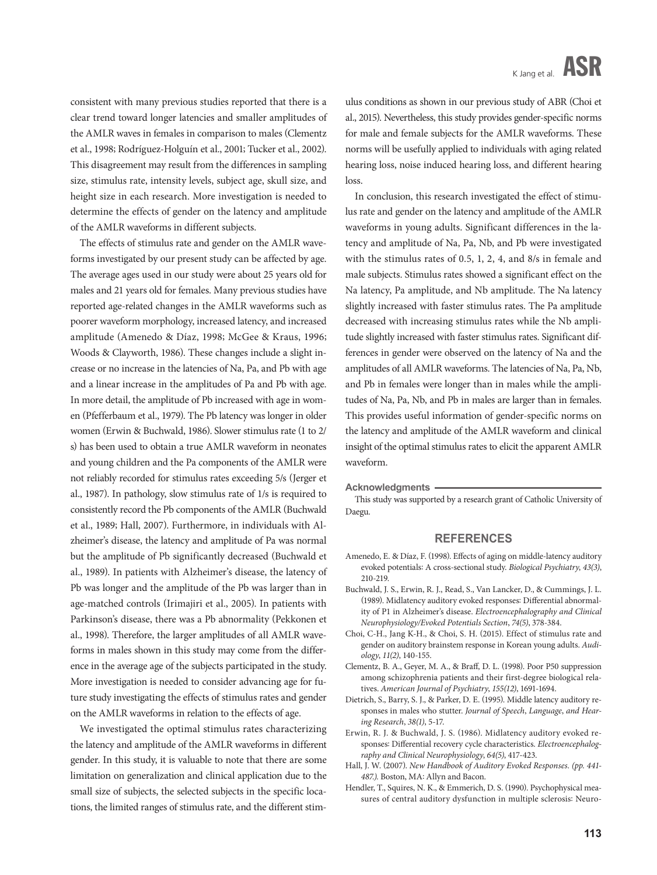consistent with many previous studies reported that there is a clear trend toward longer latencies and smaller amplitudes of the AMLR waves in females in comparison to males (Clementz et al., 1998; Rodríguez-Holguín et al., 2001; Tucker et al., 2002). This disagreement may result from the differences in sampling size, stimulus rate, intensity levels, subject age, skull size, and height size in each research. More investigation is needed to determine the effects of gender on the latency and amplitude of the AMLR waveforms in different subjects.

The effects of stimulus rate and gender on the AMLR waveforms investigated by our present study can be affected by age. The average ages used in our study were about 25 years old for males and 21 years old for females. Many previous studies have reported age-related changes in the AMLR waveforms such as poorer waveform morphology, increased latency, and increased amplitude (Amenedo & Díaz, 1998; McGee & Kraus, 1996; Woods & Clayworth, 1986). These changes include a slight increase or no increase in the latencies of Na, Pa, and Pb with age and a linear increase in the amplitudes of Pa and Pb with age. In more detail, the amplitude of Pb increased with age in women (Pfefferbaum et al., 1979). The Pb latency was longer in older women (Erwin & Buchwald, 1986). Slower stimulus rate (1 to 2/ s) has been used to obtain a true AMLR waveform in neonates and young children and the Pa components of the AMLR were not reliably recorded for stimulus rates exceeding 5/s (Jerger et al., 1987). In pathology, slow stimulus rate of 1/s is required to consistently record the Pb components of the AMLR (Buchwald et al., 1989; Hall, 2007). Furthermore, in individuals with Alzheimer's disease, the latency and amplitude of Pa was normal but the amplitude of Pb significantly decreased (Buchwald et al., 1989). In patients with Alzheimer's disease, the latency of Pb was longer and the amplitude of the Pb was larger than in age-matched controls (Irimajiri et al., 2005). In patients with Parkinson's disease, there was a Pb abnormality (Pekkonen et al., 1998). Therefore, the larger amplitudes of all AMLR waveforms in males shown in this study may come from the difference in the average age of the subjects participated in the study. More investigation is needed to consider advancing age for future study investigating the effects of stimulus rates and gender on the AMLR waveforms in relation to the effects of age.

We investigated the optimal stimulus rates characterizing the latency and amplitude of the AMLR waveforms in different gender. In this study, it is valuable to note that there are some limitation on generalization and clinical application due to the small size of subjects, the selected subjects in the specific locations, the limited ranges of stimulus rate, and the different stim-

ulus conditions as shown in our previous study of ABR (Choi et al., 2015). Nevertheless, this study provides gender-specific norms for male and female subjects for the AMLR waveforms. These norms will be usefully applied to individuals with aging related hearing loss, noise induced hearing loss, and different hearing loss

In conclusion, this research investigated the effect of stimulus rate and gender on the latency and amplitude of the AMLR waveforms in young adults. Significant differences in the latency and amplitude of Na, Pa, Nb, and Pb were investigated with the stimulus rates of 0.5, 1, 2, 4, and 8/s in female and male subjects. Stimulus rates showed a significant effect on the Na latency, Pa amplitude, and Nb amplitude. The Na latency slightly increased with faster stimulus rates. The Pa amplitude decreased with increasing stimulus rates while the Nb amplitude slightly increased with faster stimulus rates. Significant differences in gender were observed on the latency of Na and the amplitudes of all AMLR waveforms. The latencies of Na, Pa, Nb, and Pb in females were longer than in males while the amplitudes of Na, Pa, Nb, and Pb in males are larger than in females. This provides useful information of gender-specific norms on the latency and amplitude of the AMLR waveform and clinical insight of the optimal stimulus rates to elicit the apparent AMLR waveform.

**Acknowledgments**

This study was supported by a research grant of Catholic University of Daegu.

#### **REFERENCES**

- Amenedo, E. & Díaz, F. (1998). Effects of aging on middle-latency auditory evoked potentials: A cross-sectional study. *Biological Psychiatry*, *43(3)*, 210-219.
- Buchwald, J. S., Erwin, R. J., Read, S., Van Lancker, D., & Cummings, J. L. (1989). Midlatency auditory evoked responses: Differential abnormality of P1 in Alzheimer's disease. *Electroencephalography and Clinical Neurophysiology/Evoked Potentials Section*, *74(5)*, 378-384.
- Choi, C-H., Jang K-H., & Choi, S. H. (2015). Effect of stimulus rate and gender on auditory brainstem response in Korean young adults. *Audiology*, *11(2)*, 140-155.
- Clementz, B. A., Geyer, M. A., & Braff, D. L. (1998). Poor P50 suppression among schizophrenia patients and their first-degree biological relatives. *American Journal of Psychiatry*, *155(12)*, 1691-1694.
- Dietrich, S., Barry, S. J., & Parker, D. E. (1995). Middle latency auditory responses in males who stutter. *Journal of Speech*, *Language*, *and Hearing Research*, *38(1)*, 5-17.
- Erwin, R. J. & Buchwald, J. S. (1986). Midlatency auditory evoked responses: Differential recovery cycle characteristics. *Electroencephalography and Clinical Neurophysiology*, *64(5)*, 417-423.
- Hall, J. W. (2007). *New Handbook of Auditory Evoked Responses. (pp. 441- 487.).* Boston, MA: Allyn and Bacon.
- Hendler, T., Squires, N. K., & Emmerich, D. S. (1990). Psychophysical measures of central auditory dysfunction in multiple sclerosis: Neuro-